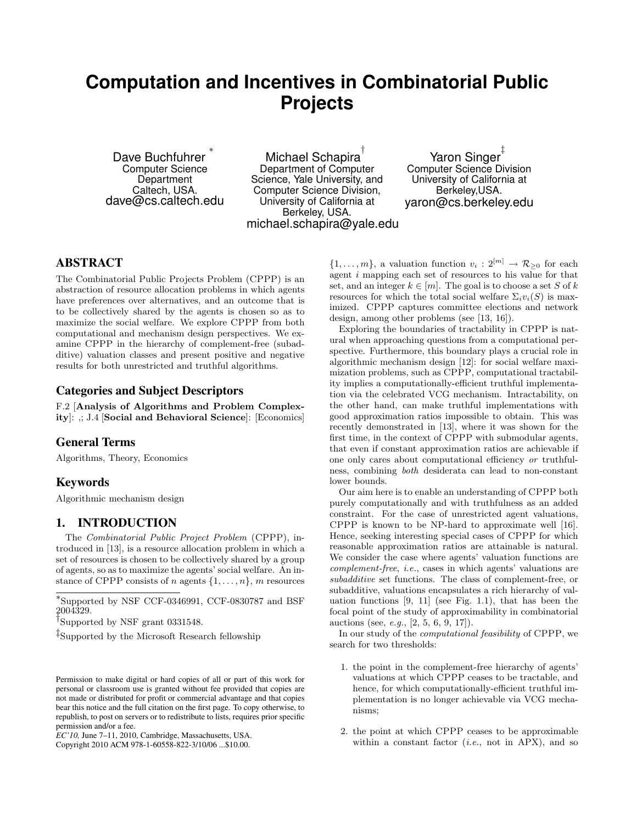# **Computation and Incentives in Combinatorial Public Projects**

Dave Buchfuhrer ∗ Computer Science **Department** Caltech, USA. dave@cs.caltech.edu

Michael Schapira $^\dagger$ Department of Computer Science, Yale University, and Computer Science Division, University of California at Berkeley, USA. michael.schapira@yale.edu

Yaron Singer ‡ Computer Science Division University of California at Berkeley,USA. yaron@cs.berkeley.edu

# ABSTRACT

The Combinatorial Public Projects Problem (CPPP) is an abstraction of resource allocation problems in which agents have preferences over alternatives, and an outcome that is to be collectively shared by the agents is chosen so as to maximize the social welfare. We explore CPPP from both computational and mechanism design perspectives. We examine CPPP in the hierarchy of complement-free (subadditive) valuation classes and present positive and negative results for both unrestricted and truthful algorithms.

### Categories and Subject Descriptors

F.2 [Analysis of Algorithms and Problem Complexity]: ,; J.4 [Social and Behavioral Science]: [Economics]

### General Terms

Algorithms, Theory, Economics

### Keywords

Algorithmic mechanism design

### 1. INTRODUCTION

The Combinatorial Public Project Problem (CPPP), introduced in [13], is a resource allocation problem in which a set of resources is chosen to be collectively shared by a group of agents, so as to maximize the agents' social welfare. An instance of CPPP consists of n agents  $\{1, \ldots, n\}$ , m resources

∗ Supported by NSF CCF-0346991, CCF-0830787 and BSF 2004329.

† Supported by NSF grant 0331548.

‡ Supported by the Microsoft Research fellowship

Copyright 2010 ACM 978-1-60558-822-3/10/06 ...\$10.00.

 $\{1,\ldots,m\}$ , a valuation function  $v_i: 2^{[m]} \to \mathcal{R}_{\geq 0}$  for each agent i mapping each set of resources to his value for that set, and an integer  $k \in [m]$ . The goal is to choose a set S of k resources for which the total social welfare  $\Sigma_i v_i(S)$  is maximized. CPPP captures committee elections and network design, among other problems (see [13, 16]).

Exploring the boundaries of tractability in CPPP is natural when approaching questions from a computational perspective. Furthermore, this boundary plays a crucial role in algorithmic mechanism design [12]: for social welfare maximization problems, such as CPPP, computational tractability implies a computationally-efficient truthful implementation via the celebrated VCG mechanism. Intractability, on the other hand, can make truthful implementations with good approximation ratios impossible to obtain. This was recently demonstrated in [13], where it was shown for the first time, in the context of CPPP with submodular agents, that even if constant approximation ratios are achievable if one only cares about computational efficiency or truthfulness, combining both desiderata can lead to non-constant lower bounds.

Our aim here is to enable an understanding of CPPP both purely computationally and with truthfulness as an added constraint. For the case of unrestricted agent valuations, CPPP is known to be NP-hard to approximate well [16]. Hence, seeking interesting special cases of CPPP for which reasonable approximation ratios are attainable is natural. We consider the case where agents' valuation functions are complement-free, i.e., cases in which agents' valuations are subadditive set functions. The class of complement-free, or subadditive, valuations encapsulates a rich hierarchy of valuation functions [9, 11] (see Fig. 1.1), that has been the focal point of the study of approximability in combinatorial auctions (see, e.g., [2, 5, 6, 9, 17]).

In our study of the computational feasibility of CPPP, we search for two thresholds:

- 1. the point in the complement-free hierarchy of agents' valuations at which CPPP ceases to be tractable, and hence, for which computationally-efficient truthful implementation is no longer achievable via VCG mechanisms;
- 2. the point at which CPPP ceases to be approximable within a constant factor  $(i.e., not in APX)$ , and so

Permission to make digital or hard copies of all or part of this work for personal or classroom use is granted without fee provided that copies are not made or distributed for profit or commercial advantage and that copies bear this notice and the full citation on the first page. To copy otherwise, to republish, to post on servers or to redistribute to lists, requires prior specific permission and/or a fee.

*EC'10,* June 7–11, 2010, Cambridge, Massachusetts, USA.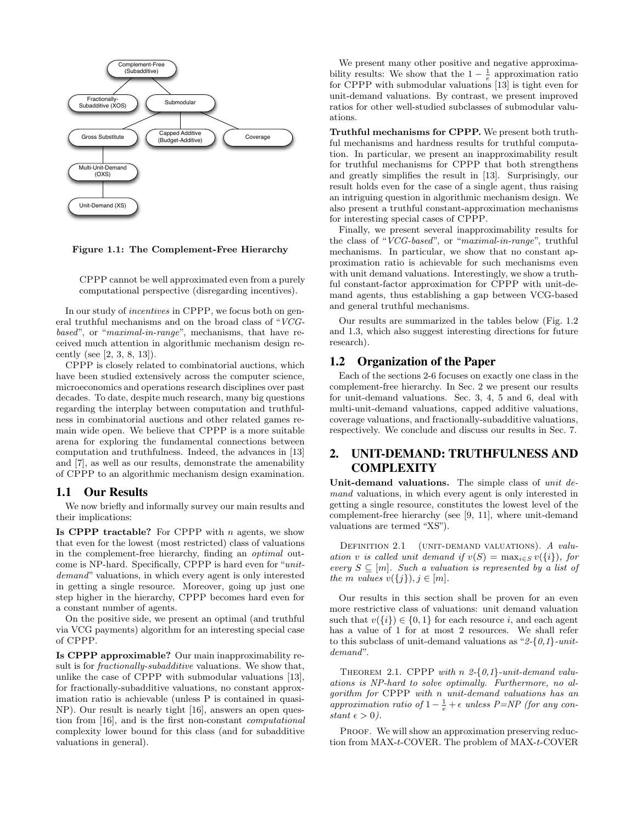

Figure 1.1: The Complement-Free Hierarchy

CPPP cannot be well approximated even from a purely computational perspective (disregarding incentives).

In our study of incentives in CPPP, we focus both on general truthful mechanisms and on the broad class of "VCGbased", or "maximal-in-range", mechanisms, that have received much attention in algorithmic mechanism design recently (see [2, 3, 8, 13]).

CPPP is closely related to combinatorial auctions, which have been studied extensively across the computer science, microeconomics and operations research disciplines over past decades. To date, despite much research, many big questions regarding the interplay between computation and truthfulness in combinatorial auctions and other related games remain wide open. We believe that CPPP is a more suitable arena for exploring the fundamental connections between computation and truthfulness. Indeed, the advances in [13] and [7], as well as our results, demonstrate the amenability of CPPP to an algorithmic mechanism design examination.

#### 1.1 Our Results

We now briefly and informally survey our main results and their implications:

Is CPPP tractable? For CPPP with  $n$  agents, we show that even for the lowest (most restricted) class of valuations in the complement-free hierarchy, finding an optimal outcome is NP-hard. Specifically, CPPP is hard even for "unitdemand" valuations, in which every agent is only interested in getting a single resource. Moreover, going up just one step higher in the hierarchy, CPPP becomes hard even for a constant number of agents.

On the positive side, we present an optimal (and truthful via VCG payments) algorithm for an interesting special case of CPPP.

Is CPPP approximable? Our main inapproximability result is for *fractionally-subadditive* valuations. We show that, unlike the case of CPPP with submodular valuations [13], for fractionally-subadditive valuations, no constant approximation ratio is achievable (unless P is contained in quasi-NP). Our result is nearly tight [16], answers an open question from [16], and is the first non-constant computational complexity lower bound for this class (and for subadditive valuations in general).

We present many other positive and negative approximability results: We show that the  $1 - \frac{1}{e}$  approximation ratio for CPPP with submodular valuations [13] is tight even for unit-demand valuations. By contrast, we present improved ratios for other well-studied subclasses of submodular valuations.

Truthful mechanisms for CPPP. We present both truthful mechanisms and hardness results for truthful computation. In particular, we present an inapproximability result for truthful mechanisms for CPPP that both strengthens and greatly simplifies the result in [13]. Surprisingly, our result holds even for the case of a single agent, thus raising an intriguing question in algorithmic mechanism design. We also present a truthful constant-approximation mechanisms for interesting special cases of CPPP.

Finally, we present several inapproximability results for the class of "VCG-based", or "maximal-in-range", truthful mechanisms. In particular, we show that no constant approximation ratio is achievable for such mechanisms even with unit demand valuations. Interestingly, we show a truthful constant-factor approximation for CPPP with unit-demand agents, thus establishing a gap between VCG-based and general truthful mechanisms.

Our results are summarized in the tables below (Fig. 1.2 and 1.3, which also suggest interesting directions for future research).

### 1.2 Organization of the Paper

Each of the sections 2-6 focuses on exactly one class in the complement-free hierarchy. In Sec. 2 we present our results for unit-demand valuations. Sec. 3, 4, 5 and 6, deal with multi-unit-demand valuations, capped additive valuations, coverage valuations, and fractionally-subadditive valuations, respectively. We conclude and discuss our results in Sec. 7.

# 2. UNIT-DEMAND: TRUTHFULNESS AND **COMPLEXITY**

Unit-demand valuations. The simple class of unit demand valuations, in which every agent is only interested in getting a single resource, constitutes the lowest level of the complement-free hierarchy (see [9, 11], where unit-demand valuations are termed "XS").

DEFINITION 2.1 (UNIT-DEMAND VALUATIONS). A valuation v is called unit demand if  $v(S) = \max_{i \in S} v({i}),$  for every  $S \subseteq [m]$ . Such a valuation is represented by a list of the m values  $v({j}), j \in [m]$ .

Our results in this section shall be proven for an even more restrictive class of valuations: unit demand valuation such that  $v({i}) \in {0,1}$  for each resource i, and each agent has a value of 1 for at most 2 resources. We shall refer to this subclass of unit-demand valuations as "2-{ $0,1$ }-unitdemand".

THEOREM 2.1. CPPP with  $n \; 2\text{-} \{0,1\}$ -unit-demand valuations is NP-hard to solve optimally. Furthermore, no algorithm for CPPP with n unit-demand valuations has an approximation ratio of  $1 - \frac{1}{e} + \epsilon$  unless P=NP (for any constant  $\epsilon > 0$ ).

PROOF. We will show an approximation preserving reduction from MAX-t-COVER. The problem of MAX-t-COVER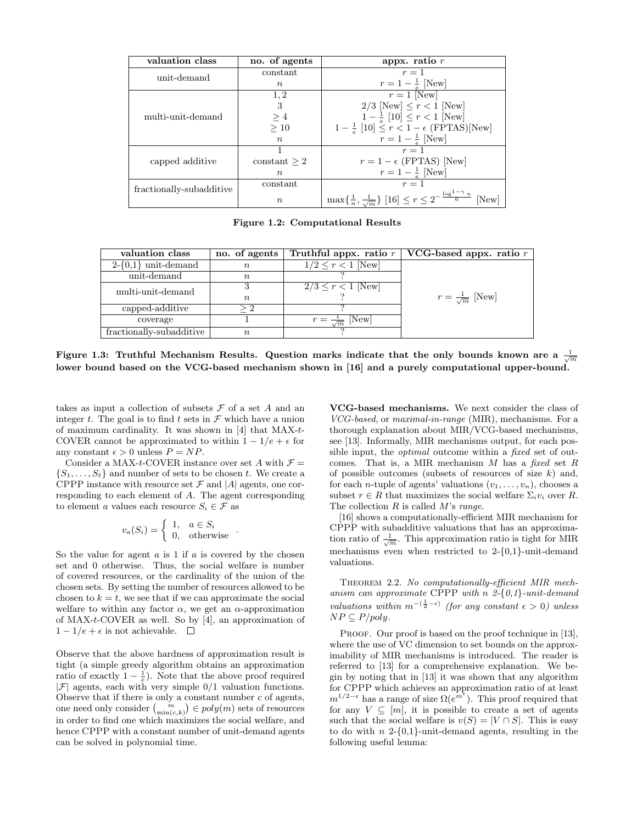| valuation class          | no. of agents    | appx. ratio $\overline{r}$                                                                       |  |
|--------------------------|------------------|--------------------------------------------------------------------------------------------------|--|
| unit-demand              | constant         | $r=1$                                                                                            |  |
|                          | $\boldsymbol{n}$ | $r = 1 - \frac{1}{e}$ [New]                                                                      |  |
|                          | 1,2              | $r=1$ [New]                                                                                      |  |
| multi-unit-demand        | 3                | $2/3$ [New] $\leq r < 1$ [New]                                                                   |  |
|                          | $\geq 4$         | $1-\frac{1}{e}$ [10] $\leq r < 1$ [New]                                                          |  |
|                          | >10              | $1-\frac{1}{e}$ [10] $\leq r < 1-\epsilon$ (FPTAS)[New]                                          |  |
|                          | $\boldsymbol{n}$ | $r = 1 - \frac{1}{e}$ [New]                                                                      |  |
|                          |                  | $r=1$                                                                                            |  |
| capped additive          | constant > 2     | $r = 1 - \epsilon$ (FPTAS) [New]                                                                 |  |
|                          | $n_{\rm c}$      | $r=1-\frac{1}{e}$ [New]                                                                          |  |
| fractionally-subadditive | constant         | $r=1$                                                                                            |  |
|                          | $\,n$            | $\max\{\frac{1}{n},\frac{1}{\sqrt{m}}\}$ [16] $\leq r\leq 2^{-\frac{\log^{1-\gamma}n}{6}}$ [New] |  |

Figure 1.2: Computational Results

| valuation class          | no. of agents |                                | Truthful appx. ratio $r \mid \text{VCG-based approx. ratio } r$ |
|--------------------------|---------------|--------------------------------|-----------------------------------------------------------------|
| $2-\{0,1\}$ unit-demand  | $\, n \,$     | $1/2 \leq r < 1$ [New]         |                                                                 |
| unit-demand              | $\,n$         |                                |                                                                 |
| multi-unit-demand        |               | $2/3 \le r < 1$ New            |                                                                 |
|                          | $n_{\rm s}$   |                                | $r = \frac{1}{\sqrt{m}}$ [New]                                  |
| capped-additive          |               |                                |                                                                 |
| coverage                 |               | $r = \frac{1}{\sqrt{m}}$ [New] |                                                                 |
| fractionally-subadditive | $\,n$         |                                |                                                                 |

Figure 1.3: Truthful Mechanism Results. Question marks indicate that the only bounds known are a  $\frac{1}{\sqrt{m}}$ lower bound based on the VCG-based mechanism shown in [16] and a purely computational upper-bound.

takes as input a collection of subsets  $\mathcal F$  of a set A and an integer t. The goal is to find t sets in  $\mathcal F$  which have a union of maximum cardinality. It was shown in [4] that MAX-t-COVER cannot be approximated to within  $1 - 1/e + \epsilon$  for any constant  $\epsilon > 0$  unless  $P = NP$ .

Consider a MAX-t-COVER instance over set A with  $\mathcal{F} =$  $\{S_1, \ldots, S_\ell\}$  and number of sets to be chosen t. We create a CPPP instance with resource set  $\mathcal F$  and  $|A|$  agents, one corresponding to each element of A. The agent corresponding to element a values each resource  $S_i \in \mathcal{F}$  as

$$
v_a(S_i) = \begin{cases} 1, & a \in S_i \\ 0, & \text{otherwise} \end{cases} .
$$

So the value for agent  $a$  is 1 if  $a$  is covered by the chosen set and 0 otherwise. Thus, the social welfare is number of covered resources, or the cardinality of the union of the chosen sets. By setting the number of resources allowed to be chosen to  $k = t$ , we see that if we can approximate the social welfare to within any factor  $\alpha$ , we get an  $\alpha$ -approximation of MAX-t-COVER as well. So by [4], an approximation of  $1 - 1/e + \epsilon$  is not achievable.  $\square$ 

Observe that the above hardness of approximation result is tight (a simple greedy algorithm obtains an approximation ratio of exactly  $1 - \frac{1}{e}$ ). Note that the above proof required  $|\mathcal{F}|$  agents, each with very simple  $0/1$  valuation functions. Observe that if there is only a constant number  $c$  of agents, one need only consider  $\binom{m}{\min(c,k)} \in poly(m)$  sets of resources in order to find one which maximizes the social welfare, and hence CPPP with a constant number of unit-demand agents can be solved in polynomial time.

VCG-based mechanisms. We next consider the class of VCG-based, or maximal-in-range (MIR), mechanisms. For a thorough explanation about MIR/VCG-based mechanisms, see [13]. Informally, MIR mechanisms output, for each possible input, the *optimal* outcome within a *fixed* set of outcomes. That is, a MIR mechanism  $M$  has a fixed set  $R$ of possible outcomes (subsets of resources of size  $k$ ) and, for each *n*-tuple of agents' valuations  $(v_1, \ldots, v_n)$ , chooses a subset  $r \in R$  that maximizes the social welfare  $\Sigma_i v_i$  over R. The collection  $R$  is called  $M$ 's range.

[16] shows a computationally-efficient MIR mechanism for CPPP with subadditive valuations that has an approximation ratio of  $\frac{1}{\sqrt{m}}$ . This approximation ratio is tight for MIR mechanisms even when restricted to  $2-\{0,1\}$ -unit-demand valuations.

THEOREM 2.2. No computationally-efficient MIR mechanism can approximate CPPP with n  $2-\{0,1\}$ -unit-demand valuations within  $m^{-(\frac{1}{2}-\epsilon)}$  (for any constant  $\epsilon > 0$ ) unless  $NP \subseteq P/poly$ .

PROOF. Our proof is based on the proof technique in [13], where the use of VC dimension to set bounds on the approximability of MIR mechanisms is introduced. The reader is referred to [13] for a comprehensive explanation. We begin by noting that in [13] it was shown that any algorithm for CPPP which achieves an approximation ratio of at least  $m^{1/2-\epsilon}$  has a range of size  $\Omega(e^{m^{\epsilon}})$ . This proof required that for any  $V \subseteq [m]$ , it is possible to create a set of agents such that the social welfare is  $v(S) = |V \cap S|$ . This is easy to do with  $n \geq 0,1$ -unit-demand agents, resulting in the following useful lemma: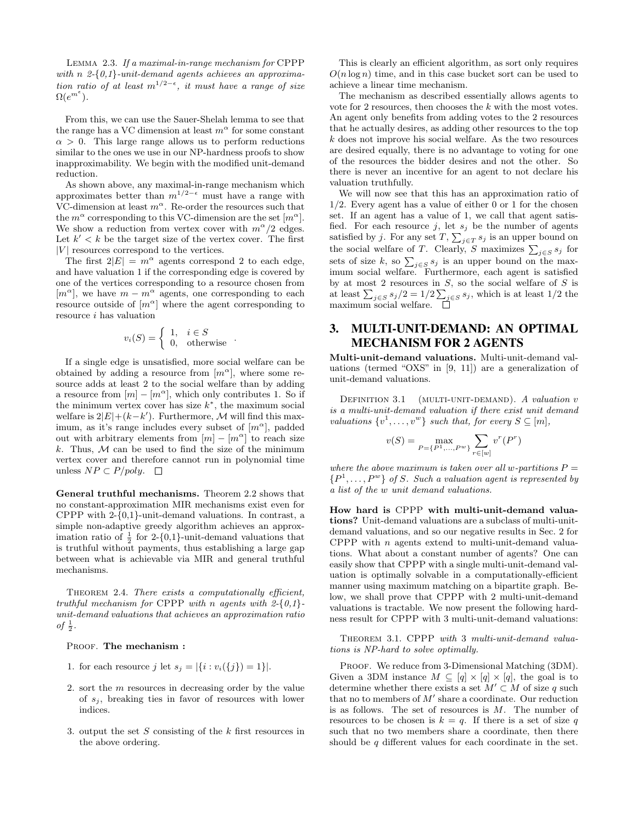LEMMA 2.3. If a maximal-in-range mechanism for CPPP with  $n \n2-\{0,1\}$ -unit-demand agents achieves an approximation ratio of at least  $m^{1/2-\epsilon}$ , it must have a range of size  $\Omega(e^{m^{\epsilon}}).$ 

From this, we can use the Sauer-Shelah lemma to see that the range has a VC dimension at least  $m^{\alpha}$  for some constant  $\alpha > 0$ . This large range allows us to perform reductions similar to the ones we use in our NP-hardness proofs to show inapproximability. We begin with the modified unit-demand reduction.

As shown above, any maximal-in-range mechanism which approximates better than  $m^{1/2-\epsilon}$  must have a range with VC-dimension at least  $m^{\alpha}$ . Re-order the resources such that the  $m^{\alpha}$  corresponding to this VC-dimension are the set  $[m^{\alpha}]$ . We show a reduction from vertex cover with  $m^{\alpha}/2$  edges. Let  $k' < k$  be the target size of the vertex cover. The first  $|V|$  resources correspond to the vertices.

The first  $2|E| = m^{\alpha}$  agents correspond 2 to each edge, and have valuation 1 if the corresponding edge is covered by one of the vertices corresponding to a resource chosen from  $[m^{\alpha}]$ , we have  $m - m^{\alpha}$  agents, one corresponding to each resource outside of  $[m^{\alpha}]$  where the agent corresponding to resource i has valuation

$$
v_i(S) = \begin{cases} 1, & i \in S \\ 0, & \text{otherwise} \end{cases} .
$$

If a single edge is unsatisfied, more social welfare can be obtained by adding a resource from  $[m^{\alpha}]$ , where some resource adds at least 2 to the social welfare than by adding a resource from  $[m] - [m^{\alpha}]$ , which only contributes 1. So if the minimum vertex cover has size  $k^*$ , the maximum social welfare is  $2|E| + (k - k')$ . Furthermore, M will find this maximum, as it's range includes every subset of  $[m^{\alpha}]$ , padded out with arbitrary elements from  $[m] - [m^{\alpha}]$  to reach size k. Thus,  $M$  can be used to find the size of the minimum vertex cover and therefore cannot run in polynomial time unless  $NP ⊂ P/poly$ . □

General truthful mechanisms. Theorem 2.2 shows that no constant-approximation MIR mechanisms exist even for CPPP with 2-{0,1}-unit-demand valuations. In contrast, a simple non-adaptive greedy algorithm achieves an approximation ratio of  $\frac{1}{2}$  for 2-{0,1}-unit-demand valuations that is truthful without payments, thus establishing a large gap between what is achievable via MIR and general truthful mechanisms.

THEOREM 2.4. There exists a computationally efficient, truthful mechanism for CPPP with n agents with  $2-\{0,1\}$ unit-demand valuations that achieves an approximation ratio of  $\frac{1}{2}$ .

#### PROOF. The mechanism :

- 1. for each resource j let  $s_i = |\{i : v_i(\{j\}) = 1\}|$ .
- 2. sort the m resources in decreasing order by the value of  $s_i$ , breaking ties in favor of resources with lower indices.
- 3. output the set  $S$  consisting of the  $k$  first resources in the above ordering.

This is clearly an efficient algorithm, as sort only requires  $O(n \log n)$  time, and in this case bucket sort can be used to achieve a linear time mechanism.

The mechanism as described essentially allows agents to vote for 2 resources, then chooses the  $k$  with the most votes. An agent only benefits from adding votes to the 2 resources that he actually desires, as adding other resources to the top k does not improve his social welfare. As the two resources are desired equally, there is no advantage to voting for one of the resources the bidder desires and not the other. So there is never an incentive for an agent to not declare his valuation truthfully.

We will now see that this has an approximation ratio of 1/2. Every agent has a value of either 0 or 1 for the chosen set. If an agent has a value of 1, we call that agent satisfied. For each resource j, let  $s_j$  be the number of agents satisfied by j. For any set  $T$ ,  $\sum_{j \in T} s_j$  is an upper bound on the social welfare of T. Clearly, S maximizes  $\sum_{j \in S} s_j$  for sets of size k, so  $\sum_{j \in S} s_j$  is an upper bound on the maximum social welfare. Furthermore, each agent is satisfied by at most 2 resources in  $S$ , so the social welfare of  $S$  is at least  $\sum_{j \in S} s_j/2 = 1/2 \sum_{j \in S} s_j$ , which is at least 1/2 the maximum social welfare.

# 3. MULTI-UNIT-DEMAND: AN OPTIMAL MECHANISM FOR 2 AGENTS

Multi-unit-demand valuations. Multi-unit-demand valuations (termed "OXS" in [9, 11]) are a generalization of unit-demand valuations.

DEFINITION  $3.1$  (MULTI-UNIT-DEMAND). A valuation v is a multi-unit-demand valuation if there exist unit demand valuations  $\{v^1, \ldots, v^w\}$  such that, for every  $S \subseteq [m],$ 

$$
v(S) = \max_{P = \{P^1, \dots, P^w\}} \sum_{r \in [w]} v^r(P^r)
$$

where the above maximum is taken over all w-partitions  $P =$  $\{P^1,\ldots,P^w\}$  of S. Such a valuation agent is represented by a list of the w unit demand valuations.

How hard is CPPP with multi-unit-demand valuations? Unit-demand valuations are a subclass of multi-unitdemand valuations, and so our negative results in Sec. 2 for CPPP with  $n$  agents extend to multi-unit-demand valuations. What about a constant number of agents? One can easily show that CPPP with a single multi-unit-demand valuation is optimally solvable in a computationally-efficient manner using maximum matching on a bipartite graph. Below, we shall prove that CPPP with 2 multi-unit-demand valuations is tractable. We now present the following hardness result for CPPP with 3 multi-unit-demand valuations:

THEOREM 3.1. CPPP with 3 multi-unit-demand valuations is NP-hard to solve optimally.

PROOF. We reduce from 3-Dimensional Matching (3DM). Given a 3DM instance  $M \subseteq [q] \times [q] \times [q]$ , the goal is to determine whether there exists a set  $M' \subset M$  of size q such that no to members of  $M'$  share a coordinate. Our reduction is as follows. The set of resources is M. The number of resources to be chosen is  $k = q$ . If there is a set of size q such that no two members share a coordinate, then there should be  $q$  different values for each coordinate in the set.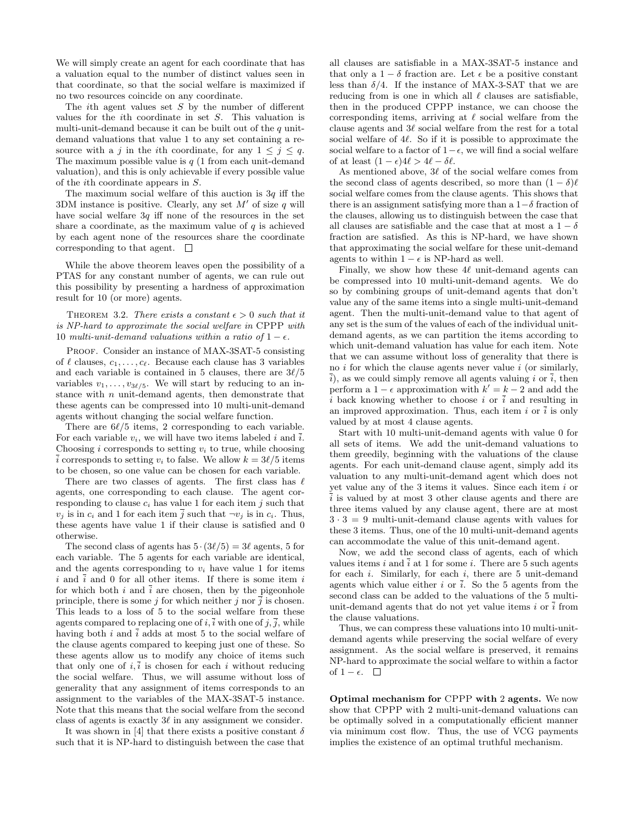We will simply create an agent for each coordinate that has a valuation equal to the number of distinct values seen in that coordinate, so that the social welfare is maximized if no two resources coincide on any coordinate.

The *i*th agent values set  $S$  by the number of different values for the ith coordinate in set S. This valuation is multi-unit-demand because it can be built out of the  $q$  unitdemand valuations that value 1 to any set containing a resource with a j in the ith coordinate, for any  $1 \leq j \leq q$ . The maximum possible value is  $q(1)$  from each unit-demand valuation), and this is only achievable if every possible value of the ith coordinate appears in S.

The maximum social welfare of this auction is  $3q$  iff the 3DM instance is positive. Clearly, any set  $M'$  of size q will have social welfare  $3q$  iff none of the resources in the set share a coordinate, as the maximum value of  $q$  is achieved by each agent none of the resources share the coordinate corresponding to that agent.  $\square$ 

While the above theorem leaves open the possibility of a PTAS for any constant number of agents, we can rule out this possibility by presenting a hardness of approximation result for 10 (or more) agents.

THEOREM 3.2. There exists a constant  $\epsilon > 0$  such that it is NP-hard to approximate the social welfare in CPPP with 10 multi-unit-demand valuations within a ratio of  $1 - \epsilon$ .

PROOF. Consider an instance of MAX-3SAT-5 consisting of  $\ell$  clauses,  $c_1, \ldots, c_\ell$ . Because each clause has 3 variables and each variable is contained in 5 clauses, there are  $3\ell/5$ variables  $v_1, \ldots, v_{3\ell/5}$ . We will start by reducing to an instance with  $n$  unit-demand agents, then demonstrate that these agents can be compressed into 10 multi-unit-demand agents without changing the social welfare function.

There are  $6\ell/5$  items, 2 corresponding to each variable. For each variable  $v_i$ , we will have two items labeled i and  $\overline{i}$ . Choosing i corresponds to setting  $v_i$  to true, while choosing i corresponds to setting  $v_i$  to false. We allow  $k = 3\ell/5$  items to be chosen, so one value can be chosen for each variable.

There are two classes of agents. The first class has  $\ell$ agents, one corresponding to each clause. The agent corresponding to clause  $c_i$  has value 1 for each item j such that  $v_j$  is in  $c_i$  and 1 for each item  $\overline{j}$  such that  $\neg v_j$  is in  $c_i$ . Thus, these agents have value 1 if their clause is satisfied and 0 otherwise.

The second class of agents has  $5 \cdot (3\ell/5) = 3\ell$  agents, 5 for each variable. The 5 agents for each variable are identical, and the agents corresponding to  $v_i$  have value 1 for items i and  $\overline{i}$  and 0 for all other items. If there is some item i for which both i and  $\overline{i}$  are chosen, then by the pigeonhole principle, there is some j for which neither j nor  $\overline{j}$  is chosen. This leads to a loss of 5 to the social welfare from these agents compared to replacing one of i,  $\overline{i}$  with one of j,  $\overline{j}$ , while having both i and  $\overline{i}$  adds at most 5 to the social welfare of the clause agents compared to keeping just one of these. So these agents allow us to modify any choice of items such that only one of  $i, \overline{i}$  is chosen for each i without reducing the social welfare. Thus, we will assume without loss of generality that any assignment of items corresponds to an assignment to the variables of the MAX-3SAT-5 instance. Note that this means that the social welfare from the second class of agents is exactly  $3\ell$  in any assignment we consider.

It was shown in [4] that there exists a positive constant  $\delta$ such that it is NP-hard to distinguish between the case that all clauses are satisfiable in a MAX-3SAT-5 instance and that only a  $1 - \delta$  fraction are. Let  $\epsilon$  be a positive constant less than  $\delta/4$ . If the instance of MAX-3-SAT that we are reducing from is one in which all  $\ell$  clauses are satisfiable, then in the produced CPPP instance, we can choose the corresponding items, arriving at  $\ell$  social welfare from the clause agents and  $3\ell$  social welfare from the rest for a total social welfare of  $4\ell$ . So if it is possible to approximate the social welfare to a factor of  $1-\epsilon$ , we will find a social welfare of at least  $(1 - \epsilon)4\ell > 4\ell - \delta\ell$ .

As mentioned above,  $3\ell$  of the social welfare comes from the second class of agents described, so more than  $(1 - \delta)\ell$ social welfare comes from the clause agents. This shows that there is an assignment satisfying more than a  $1-\delta$  fraction of the clauses, allowing us to distinguish between the case that all clauses are satisfiable and the case that at most a  $1 - \delta$ fraction are satisfied. As this is NP-hard, we have shown that approximating the social welfare for these unit-demand agents to within  $1 - \epsilon$  is NP-hard as well.

Finally, we show how these  $4\ell$  unit-demand agents can be compressed into 10 multi-unit-demand agents. We do so by combining groups of unit-demand agents that don't value any of the same items into a single multi-unit-demand agent. Then the multi-unit-demand value to that agent of any set is the sum of the values of each of the individual unitdemand agents, as we can partition the items according to which unit-demand valuation has value for each item. Note that we can assume without loss of generality that there is no  $i$  for which the clause agents never value  $i$  (or similarly,  $\overline{i}$ , as we could simply remove all agents valuing i or  $\overline{i}$ , then perform a  $1 - \epsilon$  approximation with  $k' = k - 2$  and add the i back knowing whether to choose i or  $\overline{i}$  and resulting in an improved approximation. Thus, each item i or  $\overline{i}$  is only valued by at most 4 clause agents.

Start with 10 multi-unit-demand agents with value 0 for all sets of items. We add the unit-demand valuations to them greedily, beginning with the valuations of the clause agents. For each unit-demand clause agent, simply add its valuation to any multi-unit-demand agent which does not yet value any of the 3 items it values. Since each item i or  $\frac{1}{i}$  is valued by at most 3 other clause agents and there are three items valued by any clause agent, there are at most  $3 \cdot 3 = 9$  multi-unit-demand clause agents with values for these 3 items. Thus, one of the 10 multi-unit-demand agents can accommodate the value of this unit-demand agent.

Now, we add the second class of agents, each of which values items  $i$  and  $\overline{i}$  at 1 for some  $i$ . There are 5 such agents for each  $i$ . Similarly, for each  $i$ , there are 5 unit-demand agents which value either i or  $\overline{i}$ . So the 5 agents from the second class can be added to the valuations of the 5 multiunit-demand agents that do not yet value items i or  $\overline{i}$  from the clause valuations.

Thus, we can compress these valuations into 10 multi-unitdemand agents while preserving the social welfare of every assignment. As the social welfare is preserved, it remains NP-hard to approximate the social welfare to within a factor of 1 –  $\epsilon$ . □

Optimal mechanism for CPPP with 2 agents. We now show that CPPP with 2 multi-unit-demand valuations can be optimally solved in a computationally efficient manner via minimum cost flow. Thus, the use of VCG payments implies the existence of an optimal truthful mechanism.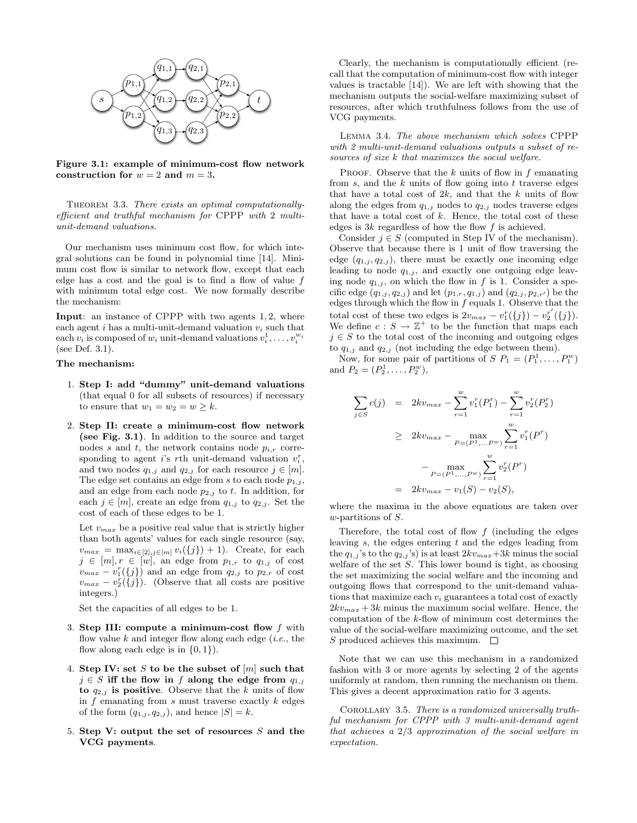

Figure 3.1: example of minimum-cost flow network construction for  $w = 2$  and  $m = 3$ .

THEOREM 3.3. There exists an optimal computationallyefficient and truthful mechanism for CPPP with 2 multiunit-demand valuations.

Our mechanism uses minimum cost flow, for which integral solutions can be found in polynomial time [14]. Minimum cost flow is similar to network flow, except that each edge has a cost and the goal is to find a flow of value f with minimum total edge cost. We now formally describe the mechanism:

Input: an instance of CPPP with two agents 1, 2, where each agent i has a multi-unit-demand valuation  $v_i$  such that each  $v_i$  is composed of  $w_i$  unit-demand valuations  $v_i^1, \ldots, v_i^{w_i}$ (see Def. 3.1).

#### The mechanism:

- 1. Step I: add "dummy" unit-demand valuations (that equal 0 for all subsets of resources) if necessary to ensure that  $w_1 = w_2 = w \geq k$ .
- 2. Step II: create a minimum-cost flow network (see Fig. 3.1). In addition to the source and target nodes s and t, the network contains node  $p_{i,r}$  corresponding to agent *i*'s *r*th unit-demand valuation  $v_i^r$ , and two nodes  $q_{1,j}$  and  $q_{2,j}$  for each resource  $j \in [m]$ . The edge set contains an edge from s to each node  $p_{1,j}$ , and an edge from each node  $p_{2,j}$  to t. In addition, for each  $j \in [m]$ , create an edge from  $q_{1,j}$  to  $q_{2,j}$ . Set the cost of each of these edges to be 1.

Let  $v_{max}$  be a positive real value that is strictly higher than both agents' values for each single resource (say,  $v_{max} = \max_{i \in [2], j \in [m]} v_i(\{j\}) + 1$ . Create, for each  $j \in [m], r \in [w]$ , an edge from  $p_{1,r}$  to  $q_{1,j}$  of cost  $v_{max} - v_1^r(\{j\})$  and an edge from  $q_{2,j}$  to  $p_{2,r}$  of cost  $v_{max} - v_2^r(\{j\})$ . (Observe that all costs are positive integers.)

Set the capacities of all edges to be 1.

- 3. Step III: compute a minimum-cost flow  $f$  with flow value  $k$  and integer flow along each edge (*i.e.*, the flow along each edge is in  $\{0, 1\}$ .
- 4. Step IV: set S to be the subset of  $[m]$  such that  $j \in S$  iff the flow in f along the edge from  $q_{1,j}$ to  $q_{2,j}$  is positive. Observe that the k units of flow in  $f$  emanating from  $s$  must traverse exactly  $k$  edges of the form  $(q_{1,j}, q_{2,j})$ , and hence  $|S| = k$ .
- 5. Step V: output the set of resources  $S$  and the VCG payments.

Clearly, the mechanism is computationally efficient (recall that the computation of minimum-cost flow with integer values is tractable [14]). We are left with showing that the mechanism outputs the social-welfare maximizing subset of resources, after which truthfulness follows from the use of VCG payments.

Lemma 3.4. The above mechanism which solves CPPP with 2 multi-unit-demand valuations outputs a subset of resources of size k that maximizes the social welfare.

PROOF. Observe that the  $k$  units of flow in  $f$  emanating from  $s$ , and the  $k$  units of flow going into  $t$  traverse edges that have a total cost of  $2k$ , and that the k units of flow along the edges from  $q_{1,j}$  nodes to  $q_{2,j}$  nodes traverse edges that have a total cost of  $k$ . Hence, the total cost of these edges is  $3k$  regardless of how the flow  $f$  is achieved.

Consider  $j \in S$  (computed in Step IV of the mechanism). Observe that because there is 1 unit of flow traversing the edge  $(q_{1,j}, q_{2,j})$ , there must be exactly one incoming edge leading to node  $q_{1,i}$ , and exactly one outgoing edge leaving node  $q_{1,j}$ , on which the flow in f is 1. Consider a specific edge  $(q_{1,j}, q_{2,j})$  and let  $(p_{1,r}, q_{1,j})$  and  $(q_{2,j}, p_{2,r'})$  be the edges through which the flow in  $f$  equals 1. Observe that the total cost of these two edges is  $2v_{max} - v_1^r(\{j\}) - v_2^{r'}(\{j\}).$ We define  $c : S \to \mathbb{Z}^+$  to be the function that maps each  $j \in S$  to the total cost of the incoming and outgoing edges to  $q_{1,j}$  and  $q_{2,j}$  (not including the edge between them).

Now, for some pair of partitions of  $S P_1 = (P_1^1, \ldots, P_1^w)$ and  $P_2 = (P_2^1, \ldots, P_2^w)$ ,

$$
\sum_{j \in S} c(j) = 2kv_{max} - \sum_{r=1}^{w} v_1^r(P_1^r) - \sum_{r=1}^{w} v_2^r(P_2^r)
$$
  
\n
$$
\geq 2kv_{max} - \max_{P=(P^1, \dots, P^w)} \sum_{r=1}^{w} v_1^r(P^r)
$$
  
\n
$$
- \max_{P=(P^1, \dots, P^w)} \sum_{r=1}^{w} v_2^r(P^r)
$$
  
\n
$$
= 2kv_{max} - v_1(S) - v_2(S),
$$

where the maxima in the above equations are taken over  $w$ -partitions of  $S$ .

Therefore, the total cost of flow  $f$  (including the edges leaving  $s$ , the edges entering  $t$  and the edges leading from the  $q_{1,j}$ 's to the  $q_{2,j}$ 's) is at least  $2kv_{max}+3k$  minus the social welfare of the set  $S$ . This lower bound is tight, as choosing the set maximizing the social welfare and the incoming and outgoing flows that correspond to the unit-demand valuations that maximize each  $v_i$  guarantees a total cost of exactly  $2kv_{max} + 3k$  minus the maximum social welfare. Hence, the computation of the k-flow of minimum cost determines the value of the social-welfare maximizing outcome, and the set S produced achieves this maximum.  $\Box$ 

Note that we can use this mechanism in a randomized fashion with 3 or more agents by selecting 2 of the agents uniformly at random, then running the mechanism on them. This gives a decent approximation ratio for 3 agents.

COROLLARY 3.5. There is a randomized universally truthful mechanism for CPPP with 3 multi-unit-demand agent that achieves a 2/3 approximation of the social welfare in expectation.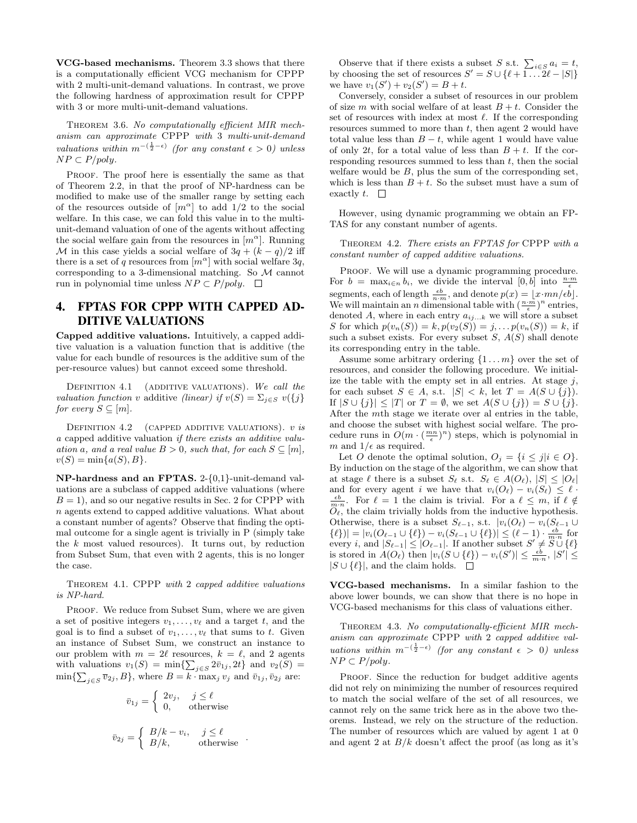VCG-based mechanisms. Theorem 3.3 shows that there is a computationally efficient VCG mechanism for CPPP with 2 multi-unit-demand valuations. In contrast, we prove the following hardness of approximation result for CPPP with 3 or more multi-unit-demand valuations.

THEOREM 3.6. No computationally efficient MIR mechanism can approximate CPPP with 3 multi-unit-demand valuations within  $m^{-(\frac{1}{2}-\epsilon)}$  (for any constant  $\epsilon > 0$ ) unless  $NP \subset P/poly.$ 

PROOF. The proof here is essentially the same as that of Theorem 2.2, in that the proof of NP-hardness can be modified to make use of the smaller range by setting each of the resources outside of  $[m^{\alpha}]$  to add 1/2 to the social welfare. In this case, we can fold this value in to the multiunit-demand valuation of one of the agents without affecting the social welfare gain from the resources in  $[m^{\alpha}]$ . Running M in this case yields a social welfare of  $3q + (k - q)/2$  iff there is a set of q resources from  $[m^{\alpha}]$  with social welfare 3q, corresponding to a 3-dimensional matching. So M cannot run in polynomial time unless  $NP \subset P/poly$ .  $\square$ 

# 4. FPTAS FOR CPPP WITH CAPPED AD-DITIVE VALUATIONS

Capped additive valuations. Intuitively, a capped additive valuation is a valuation function that is additive (the value for each bundle of resources is the additive sum of the per-resource values) but cannot exceed some threshold.

DEFINITION  $4.1$  (ADDITIVE VALUATIONS). We call the valuation function v additive (linear) if  $v(S) = \sum_{i \in S} v({j})$ for every  $S \subseteq [m]$ .

DEFINITION  $4.2$  (CAPPED ADDITIVE VALUATIONS). v is a capped additive valuation if there exists an additive valuation a, and a real value  $B > 0$ , such that, for each  $S \subseteq [m]$ ,  $v(S) = \min\{a(S), B\}.$ 

NP-hardness and an FPTAS. 2-{0,1}-unit-demand valuations are a subclass of capped additive valuations (where  $B = 1$ , and so our negative results in Sec. 2 for CPPP with n agents extend to capped additive valuations. What about a constant number of agents? Observe that finding the optimal outcome for a single agent is trivially in P (simply take the  $k$  most valued resources). It turns out, by reduction from Subset Sum, that even with 2 agents, this is no longer the case.

Theorem 4.1. CPPP with 2 capped additive valuations is NP-hard.

PROOF. We reduce from Subset Sum, where we are given a set of positive integers  $v_1, \ldots, v_\ell$  and a target t, and the goal is to find a subset of  $v_1, \ldots, v_\ell$  that sums to t. Given an instance of Subset Sum, we construct an instance to our problem with  $m = 2\ell$  resources,  $k = \ell$ , and 2 agents with valuations  $v_1(S) = \min\{\sum_{j \in S} 2\bar{v}_{1j}, 2t\}$  and  $v_2(S) =$  $\min\{\sum_{j\in S}\overline{v}_{2j},B\},\,$  where  $B=k\cdot\max_jv_j$  and  $\overline{v}_{1j},\overline{v}_{2j}$  are:

$$
\bar{v}_{1j} = \begin{cases}\n2v_j, & j \leq \ell \\
0, & \text{otherwise}\n\end{cases}
$$
\n
$$
\bar{v}_{2j} = \begin{cases}\nB/k - v_i, & j \leq \ell \\
B/k, & \text{otherwise}\n\end{cases}
$$

Observe that if there exists a subset S s.t.  $\sum_{i \in S} a_i = t$ , by choosing the set of resources  $S' = S \cup \{ \ell + 1 \dots 2\ell - |S| \}$ we have  $v_1(S') + v_2(S') = B + t$ .

Conversely, consider a subset of resources in our problem of size m with social welfare of at least  $B + t$ . Consider the set of resources with index at most  $\ell$ . If the corresponding resources summed to more than  $t$ , then agent 2 would have total value less than  $B - t$ , while agent 1 would have value of only 2t, for a total value of less than  $B + t$ . If the corresponding resources summed to less than  $t$ , then the social welfare would be  $B$ , plus the sum of the corresponding set, which is less than  $B + t$ . So the subset must have a sum of exactly t.  $\square$ 

However, using dynamic programming we obtain an FP-TAS for any constant number of agents.

THEOREM 4.2. There exists an FPTAS for CPPP with a constant number of capped additive valuations.

PROOF. We will use a dynamic programming procedure. For  $b = \max_{i \in n} b_i$ , we divide the interval  $[0, b]$  into  $\frac{n \cdot m}{\epsilon}$ segments, each of length  $\frac{\epsilon b}{n\cdot m}$ , and denote  $p(x) = \lfloor x \cdot mn/\epsilon b \rfloor$ . We will maintain an *n* dimensional table with  $(\frac{n \cdot m}{\epsilon})^n$  entries, denoted A, where in each entry  $a_{ij...k}$  we will store a subset S for which  $p(v_n(S)) = k, p(v_2(S)) = j, \ldots p(v_n(S)) = k$ , if such a subset exists. For every subset  $S, A(S)$  shall denote its corresponding entry in the table.

Assume some arbitrary ordering  $\{1 \dots m\}$  over the set of resources, and consider the following procedure. We initialize the table with the empty set in all entries. At stage  $j$ , for each subset  $S \in A$ , s.t.  $|S| < k$ , let  $T = A(S \cup \{j\})$ . If  $|S \cup \{j\}| \leq |T|$  or  $T = \emptyset$ , we set  $A(S \cup \{j\}) = S \cup \{j\}.$ After the mth stage we iterate over al entries in the table, and choose the subset with highest social welfare. The procedure runs in  $O(m \cdot (\frac{mn}{\epsilon})^n)$  steps, which is polynomial in m and  $1/\epsilon$  as required.

Let O denote the optimal solution,  $O_j = \{i \leq j | i \in O\}.$ By induction on the stage of the algorithm, we can show that at stage  $\ell$  there is a subset  $S_{\ell}$  s.t.  $S_{\ell} \in A(O_{\ell}), |S| \leq |O_{\ell}|$ and for every agent i we have that  $v_i(O_\ell) - v_i(S_\ell) \leq \ell$ .  $\frac{\epsilon b}{m \cdot n}$ . For  $\ell = 1$  the claim is trivial. For a  $\ell \leq m$ , if  $\ell \notin$  $\overline{O}_{\ell}^{n}$ , the claim trivially holds from the inductive hypothesis. Otherwise, there is a subset  $S_{\ell-1}$ , s.t.  $|v_i(O_{\ell}) - v_i(S_{\ell-1} \cup$  $\{\ell\})| = |v_i(O_{\ell-1} \cup \{\ell\}) - v_i(S_{\ell-1} \cup \{\ell\})| \leq (\ell-1) \cdot \frac{\epsilon b}{m \cdot n}$  for every i, and  $|S_{\ell-1}| \leq |O_{\ell-1}|$ . If another subset  $S' \neq S \cup \{\ell\}$ is stored in  $A(O_{\ell})$  then  $|v_i(S \cup {\ell}) - v_i(S')| \leq \frac{\epsilon b}{m \cdot n}, |S'| \leq$  $|S \cup \{\ell\}|$ , and the claim holds.  $\square$ 

VCG-based mechanisms. In a similar fashion to the above lower bounds, we can show that there is no hope in VCG-based mechanisms for this class of valuations either.

Theorem 4.3. No computationally-efficient MIR mechanism can approximate CPPP with 2 capped additive valuations within  $m^{-(\frac{1}{2}-\epsilon)}$  (for any constant  $\epsilon > 0$ ) unless  $NP \subset P/poly$ .

PROOF. Since the reduction for budget additive agents did not rely on minimizing the number of resources required to match the social welfare of the set of all resources, we cannot rely on the same trick here as in the above two theorems. Instead, we rely on the structure of the reduction. The number of resources which are valued by agent 1 at 0 and agent 2 at  $B/k$  doesn't affect the proof (as long as it's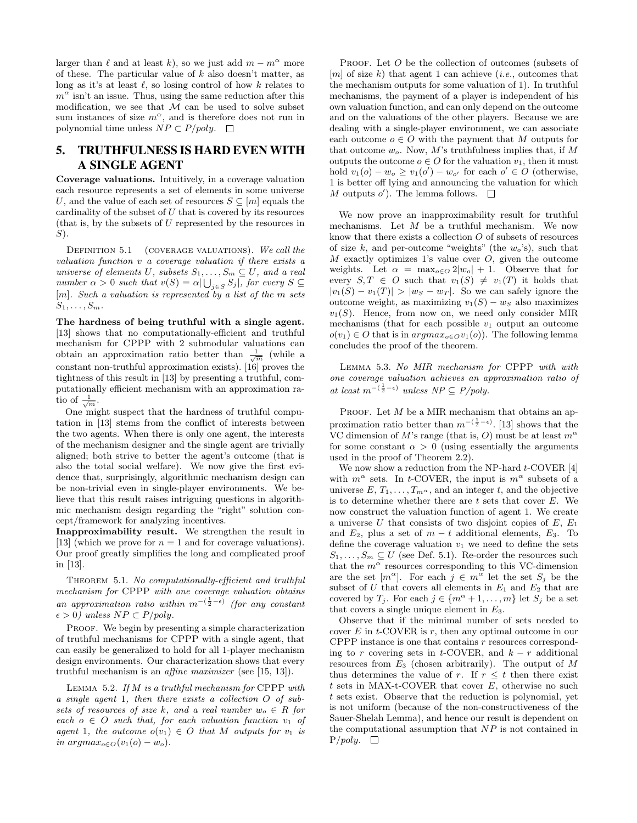larger than  $\ell$  and at least k), so we just add  $m - m^{\alpha}$  more of these. The particular value of  $k$  also doesn't matter, as long as it's at least  $\ell$ , so losing control of how k relates to  $m^{\alpha}$  isn't an issue. Thus, using the same reduction after this modification, we see that  $M$  can be used to solve subset sum instances of size  $m^{\alpha}$ , and is therefore does not run in polynomial time unless  $NP \subset P/poly$ .  $\square$ 

# 5. TRUTHFULNESS IS HARD EVEN WITH A SINGLE AGENT

Coverage valuations. Intuitively, in a coverage valuation each resource represents a set of elements in some universe U, and the value of each set of resources  $S \subseteq [m]$  equals the cardinality of the subset of  $U$  that is covered by its resources (that is, by the subsets of  $U$  represented by the resources in  $S$ ).

DEFINITION 5.1 (COVERAGE VALUATIONS). We call the valuation function v a coverage valuation if there exists a universe of elements U, subsets  $S_1, \ldots, S_m \subseteq U$ , and a real number  $\alpha > 0$  such that  $v(S) = \alpha | \bigcup_{j \in S} S_j |$ , for every  $S \subseteq$  $[m]$ . Such a valuation is represented by a list of the m sets  $S_1, \ldots, S_m$ .

The hardness of being truthful with a single agent. [13] shows that no computationally-efficient and truthful mechanism for CPPP with 2 submodular valuations can obtain an approximation ratio better than  $\frac{1}{\sqrt{m}}$  (while a constant non-truthful approximation exists). [16] proves the tightness of this result in [13] by presenting a truthful, computationally efficient mechanism with an approximation ratio of  $\frac{1}{\sqrt{m}}$ .

One might suspect that the hardness of truthful computation in [13] stems from the conflict of interests between the two agents. When there is only one agent, the interests of the mechanism designer and the single agent are trivially aligned; both strive to better the agent's outcome (that is also the total social welfare). We now give the first evidence that, surprisingly, algorithmic mechanism design can be non-trivial even in single-player environments. We believe that this result raises intriguing questions in algorithmic mechanism design regarding the "right" solution concept/framework for analyzing incentives.

Inapproximability result. We strengthen the result in [13] (which we prove for  $n = 1$  and for coverage valuations). Our proof greatly simplifies the long and complicated proof in [13].

THEOREM 5.1. No computationally-efficient and truthful mechanism for CPPP with one coverage valuation obtains an approximation ratio within  $m^{-(\frac{1}{2}-\epsilon)}$  (for any constant  $\epsilon > 0$ ) unless  $NP \subset P/poly$ .

PROOF. We begin by presenting a simple characterization of truthful mechanisms for CPPP with a single agent, that can easily be generalized to hold for all 1-player mechanism design environments. Our characterization shows that every truthful mechanism is an affine maximizer (see [15, 13]).

LEMMA 5.2. If  $M$  is a truthful mechanism for CPPP with a single agent 1, then there exists a collection O of subsets of resources of size k, and a real number  $w_0 \in R$  for each  $o \in O$  such that, for each valuation function  $v_1$  of agent 1, the outcome  $o(v_1) \in O$  that M outputs for  $v_1$  is in argma $x_{o \in O}(v_1(o) - w_o)$ .

PROOF. Let O be the collection of outcomes (subsets of  $[m]$  of size k) that agent 1 can achieve (*i.e.*, outcomes that the mechanism outputs for some valuation of 1). In truthful mechanisms, the payment of a player is independent of his own valuation function, and can only depend on the outcome and on the valuations of the other players. Because we are dealing with a single-player environment, we can associate each outcome  $o \in O$  with the payment that M outputs for that outcome  $w_o$ . Now, M's truthfulness implies that, if M outputs the outcome  $o \in O$  for the valuation  $v_1$ , then it must hold  $v_1(o) - w_o \ge v_1(o') - w_{o'}$  for each  $o' \in O$  (otherwise, 1 is better off lying and announcing the valuation for which  $M$  outputs  $o'$ ). The lemma follows.

We now prove an inapproximability result for truthful mechanisms. Let  $M$  be a truthful mechanism. We now know that there exists a collection  $O$  of subsets of resources of size k, and per-outcome "weights" (the  $w_0$ 's), such that  $M$  exactly optimizes 1's value over  $O$ , given the outcome weights. Let  $\alpha = \max_{o \in O} 2|w_o| + 1$ . Observe that for every  $S, T \in O$  such that  $v_1(S) \neq v_1(T)$  it holds that  $|v_1(S) - v_1(T)| > |w_S - w_T|$ . So we can safely ignore the outcome weight, as maximizing  $v_1(S) - w_S$  also maximizes  $v_1(S)$ . Hence, from now on, we need only consider MIR mechanisms (that for each possible  $v_1$  output an outcome  $o(v_1) \in O$  that is in  $argmax_{o \in O} v_1(o)$ ). The following lemma concludes the proof of the theorem.

Lemma 5.3. No MIR mechanism for CPPP with with one coverage valuation achieves an approximation ratio of at least  $m^{-(\frac{1}{2}-\epsilon)}$  unless  $NP ⊆ P/poly$ .

PROOF. Let  $M$  be a MIR mechanism that obtains an approximation ratio better than  $m^{-(\frac{1}{2}-\epsilon)}$ . [13] shows that the VC dimension of M's range (that is, O) must be at least  $m^{\alpha}$ for some constant  $\alpha > 0$  (using essentially the arguments used in the proof of Theorem 2.2).

We now show a reduction from the NP-hard  $t$ -COVER [4] with  $m^{\alpha}$  sets. In t-COVER, the input is  $m^{\alpha}$  subsets of a universe  $E, T_1, \ldots, T_{m^{\alpha}}$ , and an integer t, and the objective is to determine whether there are  $t$  sets that cover  $E$ . We now construct the valuation function of agent 1. We create a universe U that consists of two disjoint copies of  $E, E_1$ and  $E_2$ , plus a set of  $m - t$  additional elements,  $E_3$ . To define the coverage valuation  $v_1$  we need to define the sets  $S_1, \ldots, S_m \subseteq U$  (see Def. 5.1). Re-order the resources such that the  $m^{\alpha}$  resources corresponding to this VC-dimension are the set  $[m^{\alpha}]$ . For each  $j \in m^{\alpha}$  let the set  $S_j$  be the subset of U that covers all elements in  $E_1$  and  $E_2$  that are covered by  $T_j$ . For each  $j \in \{m^{\alpha} + 1, \ldots, m\}$  let  $S_j$  be a set that covers a single unique element in  $E_3$ .

Observe that if the minimal number of sets needed to cover  $E$  in  $t$ -COVER is  $r$ , then any optimal outcome in our CPPP instance is one that contains r resources corresponding to r covering sets in t-COVER, and  $k - r$  additional resources from  $E_3$  (chosen arbitrarily). The output of M thus determines the value of r. If  $r \leq t$  then there exist  $t$  sets in MAX-t-COVER that cover  $E$ , otherwise no such t sets exist. Observe that the reduction is polynomial, yet is not uniform (because of the non-constructiveness of the Sauer-Shelah Lemma), and hence our result is dependent on the computational assumption that NP is not contained in  $P/poly. \square$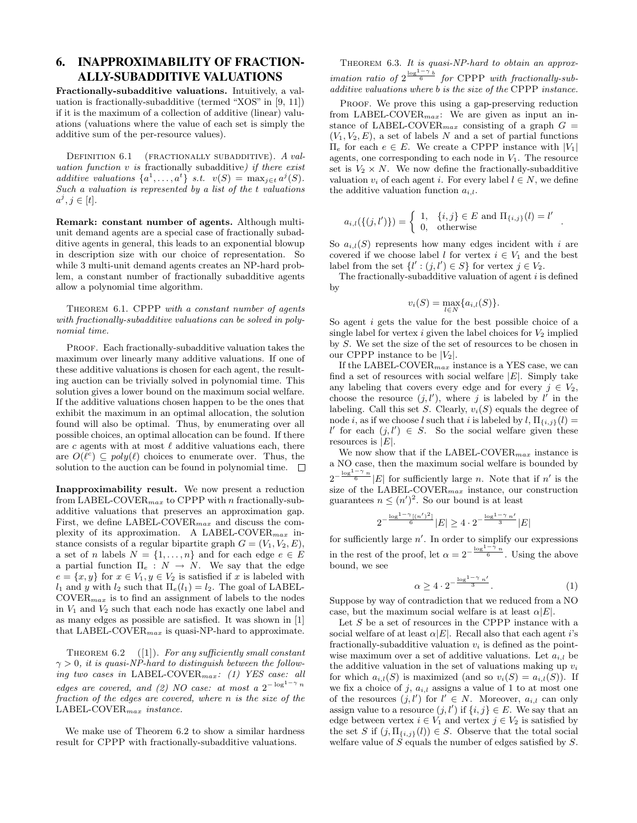# 6. INAPPROXIMABILITY OF FRACTION-ALLY-SUBADDITIVE VALUATIONS

Fractionally-subadditive valuations. Intuitively, a valuation is fractionally-subadditive (termed "XOS" in [9, 11]) if it is the maximum of a collection of additive (linear) valuations (valuations where the value of each set is simply the additive sum of the per-resource values).

DEFINITION 6.1 (FRACTIONALLY SUBADDITIVE). A valuation function  $v$  is fractionally subadditive) if there exist additive valuations  $\{a^1, \ldots, a^t\}$  s.t.  $v(S) = \max_{j \in t} a^j(S)$ . Such a valuation is represented by a list of the t valuations  $a^j, j \in [t]$ .

Remark: constant number of agents. Although multiunit demand agents are a special case of fractionally subadditive agents in general, this leads to an exponential blowup in description size with our choice of representation. So while 3 multi-unit demand agents creates an NP-hard problem, a constant number of fractionally subadditive agents allow a polynomial time algorithm.

THEOREM 6.1. CPPP with a constant number of agents with fractionally-subadditive valuations can be solved in polynomial time.

PROOF. Each fractionally-subadditive valuation takes the maximum over linearly many additive valuations. If one of these additive valuations is chosen for each agent, the resulting auction can be trivially solved in polynomial time. This solution gives a lower bound on the maximum social welfare. If the additive valuations chosen happen to be the ones that exhibit the maximum in an optimal allocation, the solution found will also be optimal. Thus, by enumerating over all possible choices, an optimal allocation can be found. If there are  $c$  agents with at most  $\ell$  additive valuations each, there are  $O(\ell^c) \subseteq poly(\ell)$  choices to enumerate over. Thus, the solution to the auction can be found in polynomial time.  $\Box$ 

Inapproximability result. We now present a reduction from LABEL-COVER $_{max}$  to CPPP with n fractionally-subadditive valuations that preserves an approximation gap. First, we define LABEL-COVER $_{max}$  and discuss the complexity of its approximation. A LABEL-COVER $_{max}$  instance consists of a regular bipartite graph  $G = (V_1, V_2, E)$ , a set of *n* labels  $N = \{1, ..., n\}$  and for each edge  $e \in E$ a partial function  $\Pi_e : N \to N$ . We say that the edge  $e = \{x, y\}$  for  $x \in V_1, y \in V_2$  is satisfied if  $x$  is labeled with  $l_1$  and y with  $l_2$  such that  $\Pi_e(l_1) = l_2$ . The goal of LABEL- $\mathrm{COVER}_{max}$  is to find an assignment of labels to the nodes in  $V_1$  and  $V_2$  such that each node has exactly one label and as many edges as possible are satisfied. It was shown in [1] that LABEL-COVER $_{max}$  is quasi-NP-hard to approximate.

THEOREM  $6.2$  ([1]). For any sufficiently small constant  $\gamma > 0$ , it is quasi-NP-hard to distinguish between the following two cases in LABEL-COVER $_{max}$ : (1) YES case: all edges are covered, and (2) NO case: at most a  $2^{-\log^{1-\gamma} n}$ fraction of the edges are covered, where n is the size of the  $\label{eq:LBEL-COVER} \text{LABEL-COVER}_{max} \ \ \text{instance}.$ 

We make use of Theorem 6.2 to show a similar hardness result for CPPP with fractionally-subadditive valuations.

THEOREM 6.3. It is quasi-NP-hard to obtain an approximation ratio of  $2^{\frac{\log^{1-\gamma} b}{6}}$  for CPPP with fractionally-subadditive valuations where b is the size of the CPPP instance.

PROOF. We prove this using a gap-preserving reduction from LABEL-COVER $_{max}$ : We are given as input an instance of LABEL-COVER<sub>max</sub> consisting of a graph  $G =$  $(V_1, V_2, E)$ , a set of labels N and a set of partial functions  $\Pi_e$  for each  $e \in E$ . We create a CPPP instance with  $|V_1|$ agents, one corresponding to each node in  $V_1$ . The resource set is  $V_2 \times N$ . We now define the fractionally-subadditive valuation  $v_i$  of each agent i. For every label  $l \in N$ , we define the additive valuation function  $a_{i,l}$ .

$$
a_{i,l}(\{(j,l')\}) = \begin{cases} 1, & \{i,j\} \in E \text{ and } \Pi_{\{i,j\}}(l) = l' \\ 0, & \text{otherwise} \end{cases}.
$$

So  $a_{i,l}(S)$  represents how many edges incident with i are covered if we choose label l for vertex  $i \in V_1$  and the best label from the set  $\{l' : (j, l') \in S\}$  for vertex  $j \in V_2$ .

The fractionally-subadditive valuation of agent  $i$  is defined by

$$
v_i(S) = \max_{l \in N} \{a_{i,l}(S)\}.
$$

So agent i gets the value for the best possible choice of a single label for vertex  $i$  given the label choices for  $V_2$  implied by S. We set the size of the set of resources to be chosen in our CPPP instance to be  $|V_2|$ .

If the LABEL-COVER $_{max}$  instance is a YES case, we can find a set of resources with social welfare  $|E|$ . Simply take any labeling that covers every edge and for every  $j \in V_2$ , choose the resource  $(j, l')$ , where j is labeled by l' in the labeling. Call this set S. Clearly,  $v_i(S)$  equals the degree of node *i*, as if we choose l such that i is labeled by  $l$ ,  $\Pi_{\{i,j\}}(l) =$ l' for each  $(j, l') \in S$ . So the social welfare given these resources is  $|E|$ .

We now show that if the LABEL-COVER $_{max}$  instance is a NO case, then the maximum social welfare is bounded by  $2^{-\frac{\log^{1-\gamma} n}{6}}|E|$  for sufficiently large *n*. Note that if *n'* is the size of the LABEL-COVER $_{max}$  instance, our construction guarantees  $n \leq (n')^2$ . So our bound is at least

$$
2^{-\frac{\log^{1-\gamma}[(n')^2]}{6}}|E|\geq 4\cdot 2^{-\frac{\log^{1-\gamma}n'}{3}}|E|
$$

for sufficiently large  $n'$ . In order to simplify our expressions in the rest of the proof, let  $\alpha = 2^{-\frac{\log^{1-\gamma} n}{6}}$ . Using the above bound, we see

$$
\alpha \ge 4 \cdot 2^{-\frac{\log^{1-\gamma} n'}{3}}.\tag{1}
$$

Suppose by way of contradiction that we reduced from a NO case, but the maximum social welfare is at least  $\alpha|E|$ .

Let  $S$  be a set of resources in the CPPP instance with a social welfare of at least  $\alpha|E|$ . Recall also that each agent *i*'s fractionally-subadditive valuation  $v_i$  is defined as the pointwise maximum over a set of additive valuations. Let  $a_{i,l}$  be the additive valuation in the set of valuations making up  $v_i$ for which  $a_{i,l}(S)$  is maximized (and so  $v_i(S) = a_{i,l}(S)$ ). If we fix a choice of j,  $a_{i,l}$  assigns a value of 1 to at most one of the resources  $(j, l')$  for  $l' \in N$ . Moreover,  $a_{i,l}$  can only assign value to a resource  $(j, l')$  if  $\{i, j\} \in E$ . We say that an edge between vertex  $i \in V_1$  and vertex  $j \in V_2$  is satisfied by the set S if  $(j, \Pi_{\{i,j\}}(l)) \in S$ . Observe that the total social welfare value of  $S$  equals the number of edges satisfied by  $S$ .